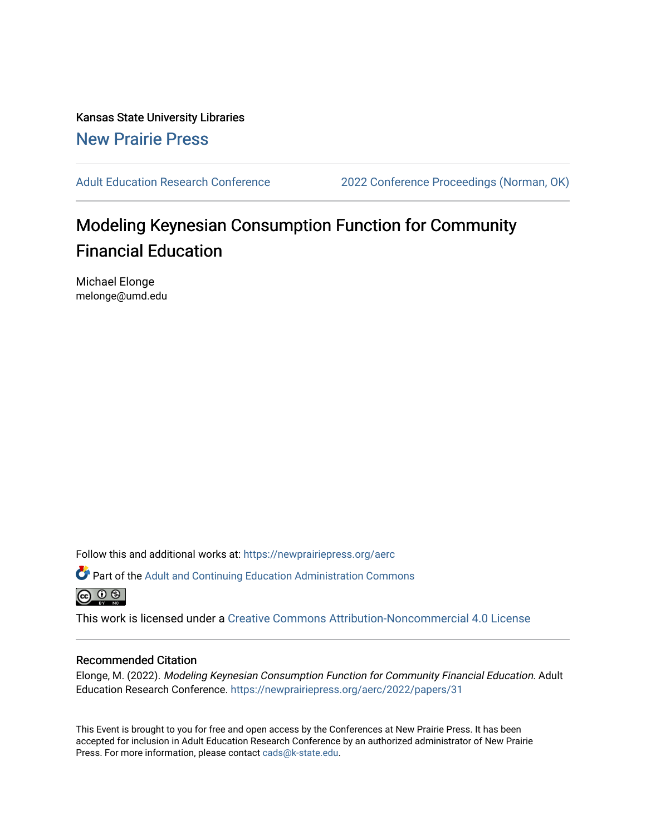Kansas State University Libraries [New Prairie Press](https://newprairiepress.org/) 

[Adult Education Research Conference](https://newprairiepress.org/aerc) [2022 Conference Proceedings \(Norman, OK\)](https://newprairiepress.org/aerc/2022) 

# Modeling Keynesian Consumption Function for Community Financial Education

Michael Elonge melonge@umd.edu

Follow this and additional works at: [https://newprairiepress.org/aerc](https://newprairiepress.org/aerc?utm_source=newprairiepress.org%2Faerc%2F2022%2Fpapers%2F31&utm_medium=PDF&utm_campaign=PDFCoverPages)

Part of the [Adult and Continuing Education Administration Commons](https://network.bepress.com/hgg/discipline/789?utm_source=newprairiepress.org%2Faerc%2F2022%2Fpapers%2F31&utm_medium=PDF&utm_campaign=PDFCoverPages) <u>ெ ெ ⊜</u>

This work is licensed under a [Creative Commons Attribution-Noncommercial 4.0 License](https://creativecommons.org/licenses/by-nc/4.0/)

## Recommended Citation

Elonge, M. (2022). Modeling Keynesian Consumption Function for Community Financial Education. Adult Education Research Conference. <https://newprairiepress.org/aerc/2022/papers/31>

This Event is brought to you for free and open access by the Conferences at New Prairie Press. It has been accepted for inclusion in Adult Education Research Conference by an authorized administrator of New Prairie Press. For more information, please contact [cads@k-state.edu.](mailto:cads@k-state.edu)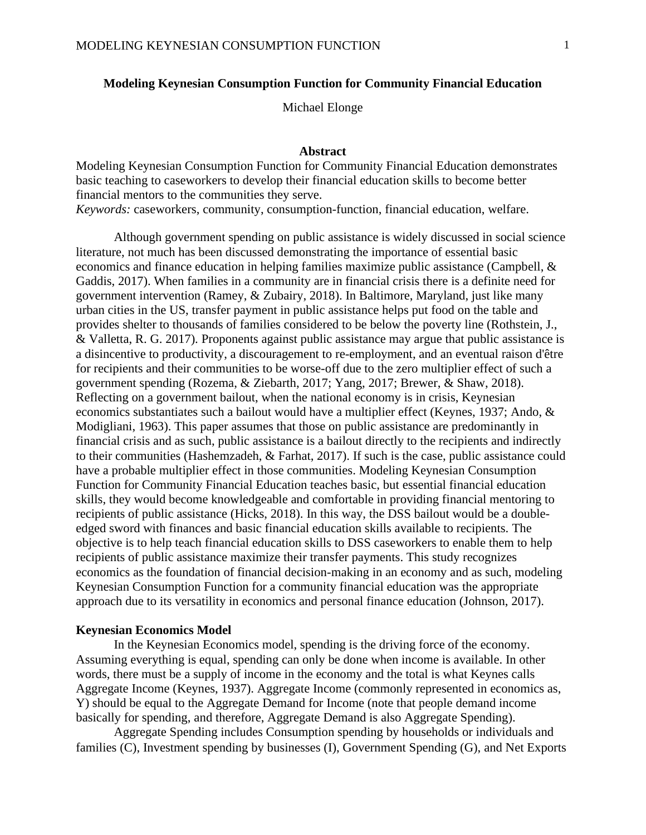## **Modeling Keynesian Consumption Function for Community Financial Education**

Michael Elonge

## **Abstract**

Modeling Keynesian Consumption Function for Community Financial Education demonstrates basic teaching to caseworkers to develop their financial education skills to become better financial mentors to the communities they serve. *Keywords:* caseworkers, community, consumption-function, financial education, welfare.

Although government spending on public assistance is widely discussed in social science literature, not much has been discussed demonstrating the importance of essential basic economics and finance education in helping families maximize public assistance (Campbell, & Gaddis, 2017). When families in a community are in financial crisis there is a definite need for government intervention (Ramey, & Zubairy, 2018). In Baltimore, Maryland, just like many urban cities in the US, transfer payment in public assistance helps put food on the table and provides shelter to thousands of families considered to be below the poverty line (Rothstein, J., & Valletta, R. G. 2017). Proponents against public assistance may argue that public assistance is a disincentive to productivity, a discouragement to re-employment, and an eventual raison d'être for recipients and their communities to be worse-off due to the zero multiplier effect of such a government spending (Rozema, & Ziebarth, 2017; Yang, 2017; Brewer, & Shaw, 2018). Reflecting on a government bailout, when the national economy is in crisis, Keynesian economics substantiates such a bailout would have a multiplier effect (Keynes, 1937; Ando, & Modigliani, 1963). This paper assumes that those on public assistance are predominantly in financial crisis and as such, public assistance is a bailout directly to the recipients and indirectly to their communities (Hashemzadeh, & Farhat, 2017). If such is the case, public assistance could have a probable multiplier effect in those communities. Modeling Keynesian Consumption Function for Community Financial Education teaches basic, but essential financial education skills, they would become knowledgeable and comfortable in providing financial mentoring to recipients of public assistance (Hicks, 2018). In this way, the DSS bailout would be a doubleedged sword with finances and basic financial education skills available to recipients. The objective is to help teach financial education skills to DSS caseworkers to enable them to help recipients of public assistance maximize their transfer payments. This study recognizes economics as the foundation of financial decision-making in an economy and as such, modeling Keynesian Consumption Function for a community financial education was the appropriate approach due to its versatility in economics and personal finance education (Johnson, 2017).

## **Keynesian Economics Model**

In the Keynesian Economics model, spending is the driving force of the economy. Assuming everything is equal, spending can only be done when income is available. In other words, there must be a supply of income in the economy and the total is what Keynes calls Aggregate Income (Keynes, 1937). Aggregate Income (commonly represented in economics as, Y) should be equal to the Aggregate Demand for Income (note that people demand income basically for spending, and therefore, Aggregate Demand is also Aggregate Spending).

Aggregate Spending includes Consumption spending by households or individuals and families (C), Investment spending by businesses (I), Government Spending (G), and Net Exports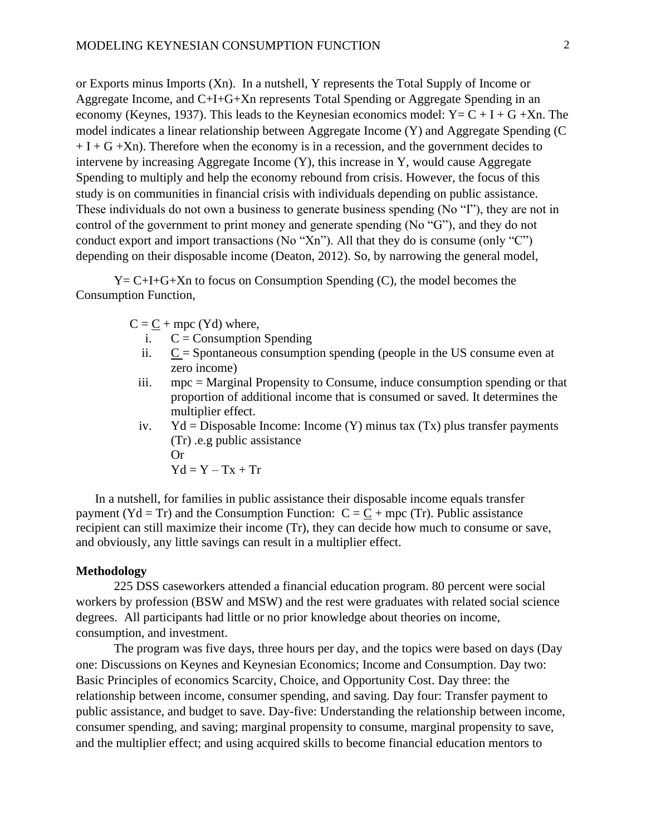or Exports minus Imports (Xn). In a nutshell, Y represents the Total Supply of Income or Aggregate Income, and C+I+G+Xn represents Total Spending or Aggregate Spending in an economy (Keynes, 1937). This leads to the Keynesian economics model:  $Y = C + I + G + Xn$ . The model indicates a linear relationship between Aggregate Income (Y) and Aggregate Spending (C  $+ I + G + Xn$ ). Therefore when the economy is in a recession, and the government decides to intervene by increasing Aggregate Income (Y), this increase in Y, would cause Aggregate Spending to multiply and help the economy rebound from crisis. However, the focus of this study is on communities in financial crisis with individuals depending on public assistance. These individuals do not own a business to generate business spending (No "I"), they are not in control of the government to print money and generate spending (No "G"), and they do not conduct export and import transactions (No "Xn"). All that they do is consume (only "C") depending on their disposable income (Deaton, 2012). So, by narrowing the general model,

 $Y = C + I + G + Xn$  to focus on Consumption Spending (C), the model becomes the Consumption Function,

 $C = C + mpc$  (Yd) where,

- i.  $C =$  Consumption Spending
- ii.  $C =$  Spontaneous consumption spending (people in the US consume even at zero income)
- iii. mpc = Marginal Propensity to Consume, induce consumption spending or that proportion of additional income that is consumed or saved. It determines the multiplier effect.
- iv.  $Yd = Disposable Income: Income (Y) minus tax (Tx) plus transfer payments$ (Tr) .e.g public assistance Or  $Yd = Y - Tx + Tr$

In a nutshell, for families in public assistance their disposable income equals transfer payment (Yd = Tr) and the Consumption Function:  $C = C + mpc$  (Tr). Public assistance recipient can still maximize their income (Tr), they can decide how much to consume or save, and obviously, any little savings can result in a multiplier effect.

## **Methodology**

225 DSS caseworkers attended a financial education program. 80 percent were social workers by profession (BSW and MSW) and the rest were graduates with related social science degrees. All participants had little or no prior knowledge about theories on income, consumption, and investment.

The program was five days, three hours per day, and the topics were based on days (Day one: Discussions on Keynes and Keynesian Economics; Income and Consumption. Day two: Basic Principles of economics Scarcity, Choice, and Opportunity Cost. Day three: the relationship between income, consumer spending, and saving. Day four: Transfer payment to public assistance, and budget to save. Day-five: Understanding the relationship between income, consumer spending, and saving; marginal propensity to consume, marginal propensity to save, and the multiplier effect; and using acquired skills to become financial education mentors to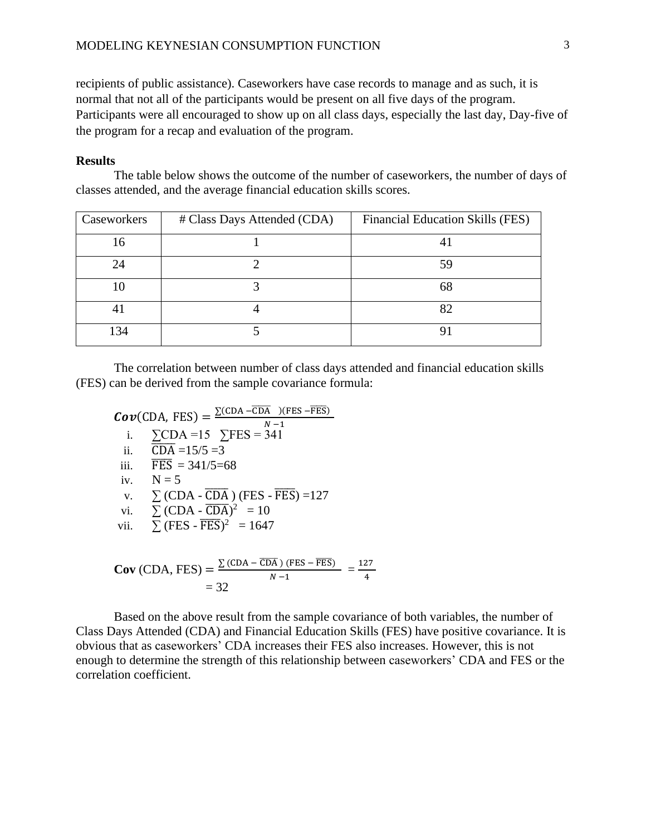recipients of public assistance). Caseworkers have case records to manage and as such, it is normal that not all of the participants would be present on all five days of the program. Participants were all encouraged to show up on all class days, especially the last day, Day-five of the program for a recap and evaluation of the program.

## **Results**

The table below shows the outcome of the number of caseworkers, the number of days of classes attended, and the average financial education skills scores.

| Caseworkers | # Class Days Attended (CDA) | Financial Education Skills (FES) |
|-------------|-----------------------------|----------------------------------|
| 16          |                             |                                  |
| 24          |                             | 59                               |
| 10          |                             | 68                               |
|             |                             |                                  |
| 134         |                             |                                  |

The correlation between number of class days attended and financial education skills (FES) can be derived from the sample covariance formula:

 $Cov(CDA, FES) = \frac{\sum (CDA - \overline{CDA}) (FES - \overline{FES})}{N_A}$  $N-1$ i.  $\Sigma$ CDA =15  $\Sigma$ FES = 341 ii.  $\overline{CDA} = 15/5 = 3$ iii. FES  $= 341/5 = 68$ iv.  $N = 5$ v.  $\sum$  (CDA -  $\overline{CDA}$ ) (FES -  $\overline{FES}$ ) =127 vi.  $\sum$  (CDA -  $\overline{CDA}$ )<sup>2</sup> = 10 vii.  $\sum$  (FES -  $\overline{\text{FES}}$ )<sup>2</sup> = 1647  $Cov$  (CDA, FES) =  $\frac{\sum (CDA - \overline{CDA}) (FES - \overline{FES})}{N_A}$  $\frac{(PES - FES)}{N-1} = \frac{127}{4}$ 4

 $= 32$ 

Based on the above result from the sample covariance of both variables, the number of Class Days Attended (CDA) and Financial Education Skills (FES) have positive covariance. It is obvious that as caseworkers' CDA increases their FES also increases. However, this is not enough to determine the strength of this relationship between caseworkers' CDA and FES or the correlation coefficient.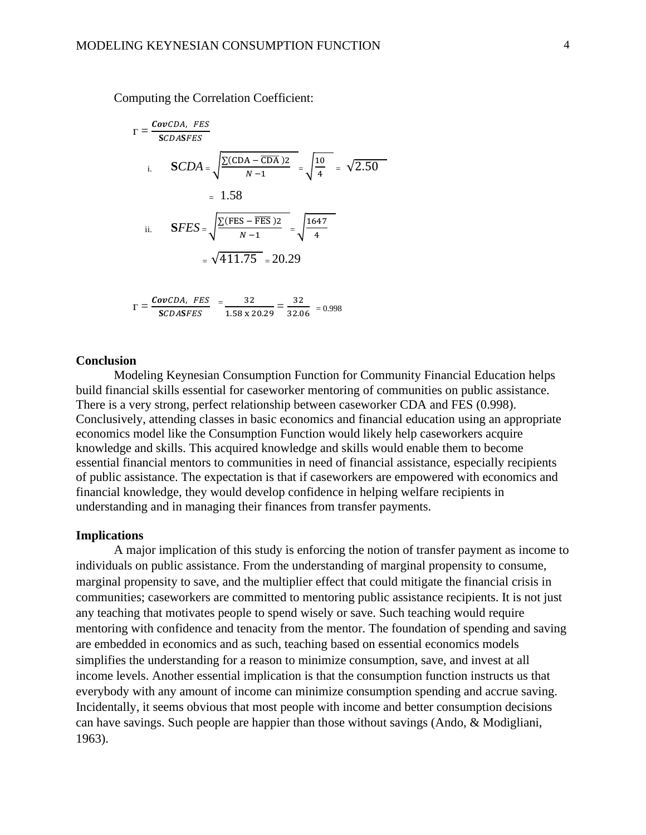Computing the Correlation Coefficient:

$$
\Gamma = \frac{CovCDA, FES}{SCDASEES}
$$
  
i. 
$$
SCDA = \sqrt{\frac{\Sigma(CDA - \overline{CDA})2}{N-1}} = \sqrt{\frac{10}{4}} = \sqrt{2.50}
$$
  
= 1.58  
ii. 
$$
SFES = \sqrt{\frac{\Sigma(FES - \overline{FES})2}{N-1}} = \sqrt{\frac{1647}{4}}
$$
  
=  $\sqrt{411.75} = 20.29$ 

$$
\Gamma = \frac{\text{CovCDA, FES}}{\text{SCDASFES}} = \frac{32}{1.58 \times 20.29} = \frac{32}{32.06} = 0.998
$$

## **Conclusion**

Modeling Keynesian Consumption Function for Community Financial Education helps build financial skills essential for caseworker mentoring of communities on public assistance. There is a very strong, perfect relationship between caseworker CDA and FES (0.998). Conclusively, attending classes in basic economics and financial education using an appropriate economics model like the Consumption Function would likely help caseworkers acquire knowledge and skills. This acquired knowledge and skills would enable them to become essential financial mentors to communities in need of financial assistance, especially recipients of public assistance. The expectation is that if caseworkers are empowered with economics and financial knowledge, they would develop confidence in helping welfare recipients in understanding and in managing their finances from transfer payments.

#### **Implications**

A major implication of this study is enforcing the notion of transfer payment as income to individuals on public assistance. From the understanding of marginal propensity to consume, marginal propensity to save, and the multiplier effect that could mitigate the financial crisis in communities; caseworkers are committed to mentoring public assistance recipients. It is not just any teaching that motivates people to spend wisely or save. Such teaching would require mentoring with confidence and tenacity from the mentor. The foundation of spending and saving are embedded in economics and as such, teaching based on essential economics models simplifies the understanding for a reason to minimize consumption, save, and invest at all income levels. Another essential implication is that the consumption function instructs us that everybody with any amount of income can minimize consumption spending and accrue saving. Incidentally, it seems obvious that most people with income and better consumption decisions can have savings. Such people are happier than those without savings (Ando, & Modigliani, 1963).